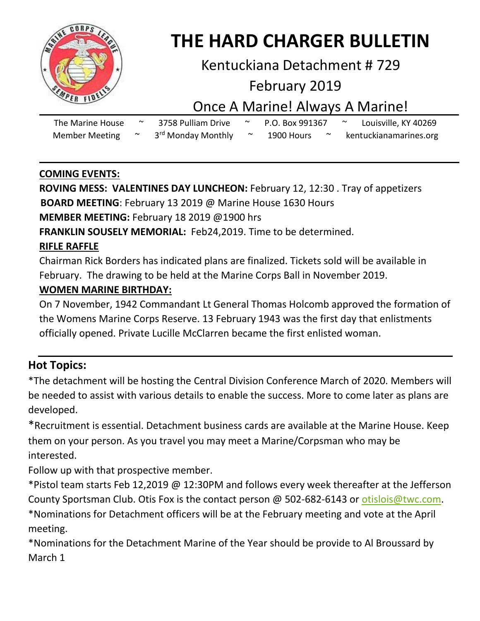

# **THE HARD CHARGER BULLETIN**

## Kentuckiana Detachment # 729

## February 2019

# Once A Marine! Always A Marine!

| The Marine House      | 3758 Pulliam Drive             | P.O. Box 991367 |  | Louisville, KY 40269   |
|-----------------------|--------------------------------|-----------------|--|------------------------|
| <b>Member Meeting</b> | 3 <sup>rd</sup> Monday Monthly | 1900 Hours      |  | kentuckianamarines.org |

### **COMING EVENTS:**

**ROVING MESS: VALENTINES DAY LUNCHEON:** February 12, 12:30 . Tray of appetizers **BOARD MEETING**: February 13 2019 @ Marine House 1630 Hours

**MEMBER MEETING:** February 18 2019 @1900 hrs

**FRANKLIN SOUSELY MEMORIAL:** Feb24,2019. Time to be determined.

### **RIFLE RAFFLE**

Chairman Rick Borders has indicated plans are finalized. Tickets sold will be available in February. The drawing to be held at the Marine Corps Ball in November 2019.

### **WOMEN MARINE BIRTHDAY:**

On 7 November, 1942 Commandant Lt General Thomas Holcomb approved the formation of the Womens Marine Corps Reserve. 13 February 1943 was the first day that enlistments officially opened. Private Lucille McClarren became the first enlisted woman.

## **Hot Topics:**

\*The detachment will be hosting the Central Division Conference March of 2020. Members will be needed to assist with various details to enable the success. More to come later as plans are developed.

\*Recruitment is essential. Detachment business cards are available at the Marine House. Keep them on your person. As you travel you may meet a Marine/Corpsman who may be interested.

Follow up with that prospective member.

\*Pistol team starts Feb 12,2019 @ 12:30PM and follows every week thereafter at the Jefferson County Sportsman Club. Otis Fox is the contact person @ 502-682-6143 or [otislois@twc.com.](mailto:otislois@twc.com) \*Nominations for Detachment officers will be at the February meeting and vote at the April meeting.

\*Nominations for the Detachment Marine of the Year should be provide to Al Broussard by March 1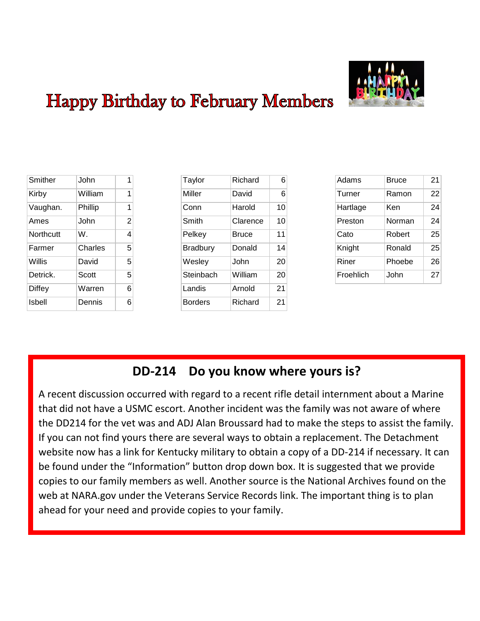

# **Happy Birthday to February Members**

| Smither       | John    | 1              |
|---------------|---------|----------------|
| Kirby         | William | 1              |
| Vaughan.      | Phillip | 1              |
| Ames          | John    | $\overline{2}$ |
| Northcutt     | W.      | 4              |
| Farmer        | Charles | 5              |
| Willis        | David   | 5              |
| Detrick.      | Scott   | 5              |
| <b>Diffey</b> | Warren  | 6              |
| Isbell        | Dennis  | 6              |

| Taylor          | Richard  | 6  |
|-----------------|----------|----|
| Miller          | David    | 6  |
| Conn            | Harold   | 10 |
| Smith           | Clarence | 10 |
| Pelkey          | Bruce    | 11 |
| <b>Bradbury</b> | Donald   | 14 |
| Wesley          | John     | 20 |
| Steinbach       | William  | 20 |
| Landis          | Arnold   | 21 |
| <b>Borders</b>  | Richard  | 21 |

| Adams     | Bruce  | 21 |
|-----------|--------|----|
| Turner    | Ramon  | 22 |
| Hartlage  | Ken    | 24 |
| Preston   | Norman | 24 |
| Cato      | Robert | 25 |
| Knight    | Ronald | 25 |
| Riner     | Phoebe | 26 |
| Froehlich | John   | 27 |

## **DD-214 Do you know where yours is?**

A recent discussion occurred with regard to a recent rifle detail internment about a Marine that did not have a USMC escort. Another incident was the family was not aware of where the DD214 for the vet was and ADJ Alan Broussard had to make the steps to assist the family. If you can not find yours there are several ways to obtain a replacement. The Detachment website now has a link for Kentucky military to obtain a copy of a DD-214 if necessary. It can be found under the "Information" button drop down box. It is suggested that we provide copies to our family members as well. Another source is the National Archives found on the web at NARA.gov under the Veterans Service Records link. The important thing is to plan ahead for your need and provide copies to your family.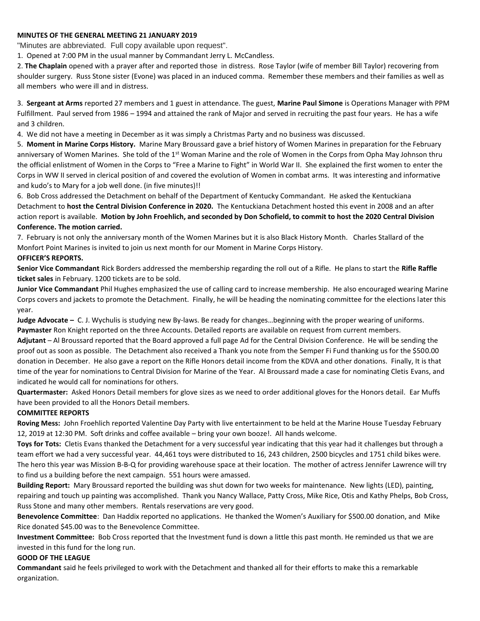#### **MINUTES OF THE GENERAL MEETING 21 JANUARY 2019**

"Minutes are abbreviated. Full copy available upon request".

1. Opened at 7:00 PM in the usual manner by Commandant Jerry L. McCandless.

2. **The Chaplain** opened with a prayer after and reported those in distress. Rose Taylor (wife of member Bill Taylor) recovering from shoulder surgery. Russ Stone sister (Evone) was placed in an induced comma. Remember these members and their families as well as all members who were ill and in distress.

3. **Sergeant at Arms** reported 27 members and 1 guest in attendance. The guest, **Marine Paul Simone** is Operations Manager with PPM Fulfillment. Paul served from 1986 – 1994 and attained the rank of Major and served in recruiting the past four years. He has a wife and 3 children.

4. We did not have a meeting in December as it was simply a Christmas Party and no business was discussed.

5. **Moment in Marine Corps History.** Marine Mary Broussard gave a brief history of Women Marines in preparation for the February anniversary of Women Marines. She told of the 1<sup>st</sup> Woman Marine and the role of Women in the Corps from Opha May Johnson thru the official enlistment of Women in the Corps to "Free a Marine to Fight" in World War II. She explained the first women to enter the Corps in WW II served in clerical position of and covered the evolution of Women in combat arms. It was interesting and informative and kudo's to Mary for a job well done. (in five minutes)!!

6. Bob Cross addressed the Detachment on behalf of the Department of Kentucky Commandant. He asked the Kentuckiana Detachment to **host the Central Division Conference in 2020.** The Kentuckiana Detachment hosted this event in 2008 and an after action report is available. **Motion by John Froehlich, and seconded by Don Schofield, to commit to host the 2020 Central Division Conference. The motion carried.** 

7. February is not only the anniversary month of the Women Marines but it is also Black History Month. Charles Stallard of the Monfort Point Marines is invited to join us next month for our Moment in Marine Corps History. **OFFICER'S REPORTS.** 

**Senior Vice Commandant** Rick Borders addressed the membership regarding the roll out of a Rifle. He plans to start the **Rifle Raffle ticket sales** in February. 1200 tickets are to be sold.

**Junior Vice Commandant** Phil Hughes emphasized the use of calling card to increase membership. He also encouraged wearing Marine Corps covers and jackets to promote the Detachment. Finally, he will be heading the nominating committee for the elections later this year.

**Judge Advocate –** C. J. Wychulis is studying new By-laws. Be ready for changes…beginning with the proper wearing of uniforms. **Paymaster** Ron Knight reported on the three Accounts. Detailed reports are available on request from current members.

**Adjutant** – Al Broussard reported that the Board approved a full page Ad for the Central Division Conference. He will be sending the proof out as soon as possible. The Detachment also received a Thank you note from the Semper Fi Fund thanking us for the \$500.00 donation in December. He also gave a report on the Rifle Honors detail income from the KDVA and other donations. Finally, It is that time of the year for nominations to Central Division for Marine of the Year. Al Broussard made a case for nominating Cletis Evans, and indicated he would call for nominations for others.

**Quartermaster:** Asked Honors Detail members for glove sizes as we need to order additional gloves for the Honors detail. Ear Muffs have been provided to all the Honors Detail members.

#### **COMMITTEE REPORTS**

**Roving Mess:** John Froehlich reported Valentine Day Party with live entertainment to be held at the Marine House Tuesday February 12, 2019 at 12:30 PM. Soft drinks and coffee available – bring your own booze!. All hands welcome.

**Toys for Tots:** Cletis Evans thanked the Detachment for a very successful year indicating that this year had it challenges but through a team effort we had a very successful year. 44,461 toys were distributed to 16, 243 children, 2500 bicycles and 1751 child bikes were. The hero this year was Mission B-B-Q for providing warehouse space at their location. The mother of actress Jennifer Lawrence will try to find us a building before the next campaign. 551 hours were amassed.

**Building Report:** Mary Broussard reported the building was shut down for two weeks for maintenance. New lights (LED), painting, repairing and touch up painting was accomplished. Thank you Nancy Wallace, Patty Cross, Mike Rice, Otis and Kathy Phelps, Bob Cross, Russ Stone and many other members. Rentals reservations are very good.

**Benevolence Committee**: Dan Haddix reported no applications. He thanked the Women's Auxiliary for \$500.00 donation, and Mike Rice donated \$45.00 was to the Benevolence Committee.

**Investment Committee:** Bob Cross reported that the Investment fund is down a little this past month. He reminded us that we are invested in this fund for the long run.

#### **GOOD OF THE LEAGUE**

**Commandant** said he feels privileged to work with the Detachment and thanked all for their efforts to make this a remarkable organization.